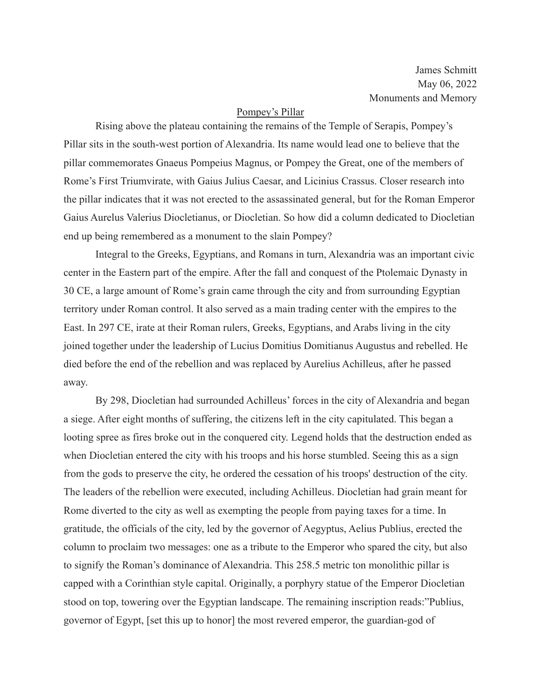James Schmitt May 06, 2022 Monuments and Memory

## Pompey's Pillar

Rising above the plateau containing the remains of the Temple of Serapis, Pompey's Pillar sits in the south-west portion of Alexandria. Its name would lead one to believe that the pillar commemorates Gnaeus Pompeius Magnus, or Pompey the Great, one of the members of Rome's First Triumvirate, with Gaius Julius Caesar, and Licinius Crassus. Closer research into the pillar indicates that it was not erected to the assassinated general, but for the Roman Emperor Gaius Aurelus Valerius Diocletianus, or Diocletian. So how did a column dedicated to Diocletian end up being remembered as a monument to the slain Pompey?

Integral to the Greeks, Egyptians, and Romans in turn, Alexandria was an important civic center in the Eastern part of the empire. After the fall and conquest of the Ptolemaic Dynasty in 30 CE, a large amount of Rome's grain came through the city and from surrounding Egyptian territory under Roman control. It also served as a main trading center with the empires to the East. In 297 CE, irate at their Roman rulers, Greeks, Egyptians, and Arabs living in the city joined together under the leadership of Lucius Domitius Domitianus Augustus and rebelled. He died before the end of the rebellion and was replaced by Aurelius Achilleus, after he passed away.

By 298, Diocletian had surrounded Achilleus' forces in the city of Alexandria and began a siege. After eight months of suffering, the citizens left in the city capitulated. This began a looting spree as fires broke out in the conquered city. Legend holds that the destruction ended as when Diocletian entered the city with his troops and his horse stumbled. Seeing this as a sign from the gods to preserve the city, he ordered the cessation of his troops' destruction of the city. The leaders of the rebellion were executed, including Achilleus. Diocletian had grain meant for Rome diverted to the city as well as exempting the people from paying taxes for a time. In gratitude, the officials of the city, led by the governor of Aegyptus, Aelius Publius, erected the column to proclaim two messages: one as a tribute to the Emperor who spared the city, but also to signify the Roman's dominance of Alexandria. This 258.5 metric ton monolithic pillar is capped with a Corinthian style capital. Originally, a porphyry statue of the Emperor Diocletian stood on top, towering over the Egyptian landscape. The remaining inscription reads:"Publius, governor of Egypt, [set this up to honor] the most revered emperor, the guardian-god of